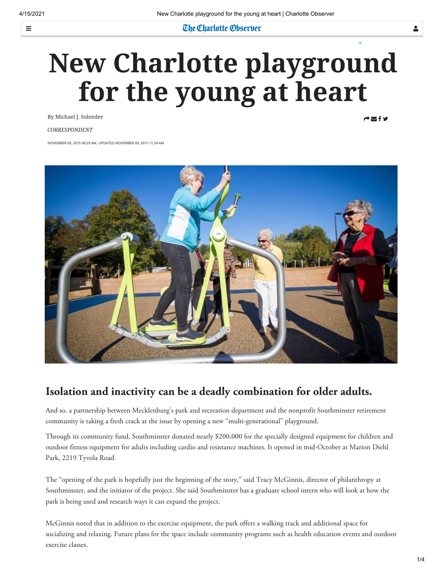$\equiv$ 

## **The Charlotte Observer**

# **New Charlotte playground for the young at heart**

By Michael J. Solender

**CORRESPONDENT** 

 $A \boxtimes f$ 

NOVEMBER 09, 2015 08:29 AM, UPDATED NOVEMBER 09, 2015 11:24 AM



## **Isolation and inactivity can be a deadly combination for older adults.**

And so, a partnership between Mecklenburg's park and recreation department and the nonprofit Southminster retirement community is taking a fresh crack at the issue by opening a new "multi-generational" playground.

Through its community fund, Southminster donated nearly \$200,000 for the specially designed equipment for children and outdoor fitness equipment for adults including cardio and resistance machines. It opened in mid-October at Marion Diehl Park, 2219 Tyvola Road.

The "opening of the park is hopefully just the beginning of the story," said Tracy McGinnis, director of philanthropy at Southminster, and the initiator of the project. She said Southminster has a graduate school intern who will look at how the park is being used and research ways it can expand the project.

McGinnis noted that in addition to the exercise equipment, the park offers a walking track and additional space for socializing and relaxing. Future plans for the space include community programs such as health education events and outdoor exercise classes.